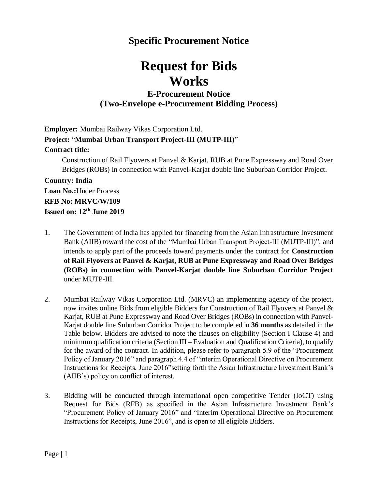# **Specific Procurement Notice**

# **Request for Bids Works**

## **E-Procurement Notice (Two-Envelope e-Procurement Bidding Process)**

**Employer:** Mumbai Railway Vikas Corporation Ltd. **Project:** "**Mumbai Urban Transport Project-III (MUTP-III)**" **Contract title:** 

Construction of Rail Flyovers at Panvel & Karjat, RUB at Pune Expressway and Road Over Bridges (ROBs) in connection with Panvel-Karjat double line Suburban Corridor Project.

### **Country: India**

**Loan No.:**Under Process **RFB No: MRVC/W/109 Issued on: 12 th June 2019**

- 1. The Government of India has applied for financing from the Asian Infrastructure Investment Bank (AIIB) toward the cost of the "Mumbai Urban Transport Project-III (MUTP-III)", and intends to apply part of the proceeds toward payments under the contract for **Construction of Rail Flyovers at Panvel & Karjat, RUB at Pune Expressway and Road Over Bridges (ROBs) in connection with Panvel-Karjat double line Suburban Corridor Project** under MUTP-III.
- 2. Mumbai Railway Vikas Corporation Ltd. (MRVC) an implementing agency of the project, now invites online Bids from eligible Bidders for Construction of Rail Flyovers at Panvel & Karjat, RUB at Pune Expressway and Road Over Bridges (ROBs) in connection with Panvel-Karjat double line Suburban Corridor Project to be completed in **36 months** as detailed in the Table below. Bidders are advised to note the clauses on eligibility (Section I Clause 4) and minimum qualification criteria (Section III – Evaluation and Qualification Criteria), to qualify for the award of the contract. In addition, please refer to paragraph 5.9 of the "Procurement Policy of January 2016" and paragraph 4.4 of "interim Operational Directive on Procurement Instructions for Receipts, June 2016"setting forth the Asian Infrastructure Investment Bank's (AIIB's) policy on conflict of interest.
- 3. Bidding will be conducted through international open competitive Tender (IoCT) using Request for Bids (RFB) as specified in the Asian Infrastructure Investment Bank's "Procurement Policy of January 2016" and "Interim Operational Directive on Procurement Instructions for Receipts, June 2016", and is open to all eligible Bidders.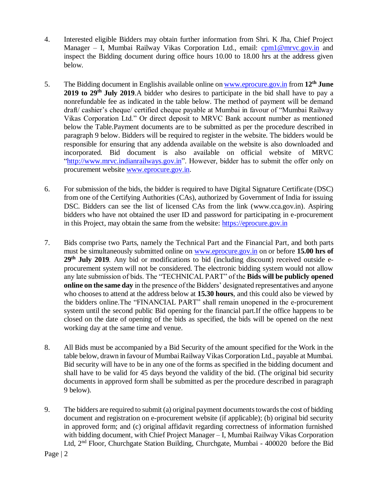- 4. Interested eligible Bidders may obtain further information from Shri. K Jha, Chief Project Manager – I, Mumbai Railway Vikas Corporation Ltd., email: [cpm1@mrvc.gov.in](mailto:cpm1@mrvc.gov.in) and inspect the Bidding document during office hours 10.00 to 18.00 hrs at the address given below*.*
- 5. The Bidding document in Englishis available online o[n www.eprocure.gov.in](http://www.eprocure.gov.in/) from 12<sup>th</sup> June 2019 to 29<sup>th</sup> July 2019.A bidder who desires to participate in the bid shall have to pay a nonrefundable fee as indicated in the table below. The method of payment will be demand draft/ cashier's cheque/ certified cheque payable at Mumbai in favour of "Mumbai Railway Vikas Corporation Ltd." Or direct deposit to MRVC Bank account number as mentioned below the Table.Payment documents are to be submitted as per the procedure described in paragraph 9 below. Bidders will be required to register in the website. The bidders would be responsible for ensuring that any addenda available on the website is also downloaded and incorporated*.* Bid document is also available on official website of MRVC "http://www.mrvc.indianrailways.gov.in". However, bidder has to submit the offer only on procurement website [www.eprocure.gov.in.](http://www.eprocure.gov.in/)
- 6. For submission of the bids, the bidder is required to have Digital Signature Certificate (DSC) from one of the Certifying Authorities (CAs), authorized by Government of India for issuing DSC. Bidders can see the list of licensed CAs from the link [\(www.cca.gov.in\)](http://www.cca.gov.in/). Aspiring bidders who have not obtained the user ID and password for participating in e-procurement in this Project, may obtain the same from the website: [https://eprocure.gov.in](https://eprocure.gov.in/)
- 7. Bids comprise two Parts, namely the Technical Part and the Financial Part, and both parts must be simultaneously submitted online on [www.eprocure.gov.in](http://www.eprocure.gov.in/) on or before **15.00 hrs of 29 th July 2019***.* Any bid or modifications to bid (including discount) received outside eprocurement system will not be considered. The electronic bidding system would not allow any late submission of bids. The "TECHNICAL PART" of the **Bids will be publicly opened online on the same day** in the presence of the Bidders' designated representatives and anyone who chooses to attend at the address below at **15.30 hours***,* and this could also be viewed by the bidders online.The "FINANCIAL PART" shall remain unopened in the e-procurement system until the second public Bid opening for the financial part.If the office happens to be closed on the date of opening of the bids as specified, the bids will be opened on the next working day at the same time and venue.
- 8. All Bids must be accompanied by a Bid Security of the amount specified for the Work in the table below, drawn in favour of Mumbai Railway Vikas Corporation Ltd., payable at Mumbai. Bid security will have to be in any one of the forms as specified in the bidding document and shall have to be valid for 45 days beyond the validity of the bid. (The original bid security documents in approved form shall be submitted as per the procedure described in paragraph 9 below).
- 9. The bidders are required to submit (a) original payment documents towards the cost of bidding document and registration on e-procurement website (if applicable); (b) original bid security in approved form; and (c) original affidavit regarding correctness of information furnished with bidding document, with Chief Project Manager – I, Mumbai Railway Vikas Corporation Ltd, 2nd Floor, Churchgate Station Building, Churchgate, Mumbai - 400020 before the Bid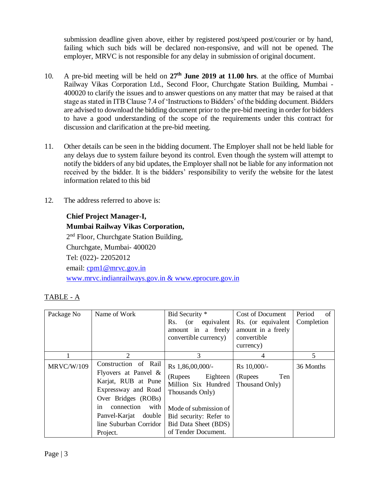submission deadline given above, either by registered post/speed post/courier or by hand, failing which such bids will be declared non-responsive, and will not be opened. The employer, MRVC is not responsible for any delay in submission of original document.

- 10. A pre-bid meeting will be held on **27th June 2019 at 11.00 hrs**. at the office of Mumbai Railway Vikas Corporation Ltd., Second Floor, Churchgate Station Building, Mumbai - 400020 to clarify the issues and to answer questions on any matter that may be raised at that stage as stated in ITB Clause 7.4 of 'Instructions to Bidders' of the bidding document. Bidders are advised to download the bidding document prior to the pre-bid meeting in order for bidders to have a good understanding of the scope of the requirements under this contract for discussion and clarification at the pre-bid meeting.
- 11. Other details can be seen in the bidding document. The Employer shall not be held liable for any delays due to system failure beyond its control. Even though the system will attempt to notify the bidders of any bid updates, the Employer shall not be liable for any information not received by the bidder. It is the bidders' responsibility to verify the website for the latest information related to this bid
- 12. The address referred to above is:

#### **Chief Project Manager-I,**

**Mumbai Railway Vikas Corporation,** 2<sup>nd</sup> Floor, Churchgate Station Building, Churchgate, Mumbai- 400020 Tel: (022)- 22052012 email: [cpm1@mrvc.gov.in](mailto:cpm1@mrvc.gov.in) www.mrvc.indianrailways.gov.in & www.eprocure.gov.in

#### TABLE - A

| Package No        | Name of Work                                                                                                                                                                                                    | Bid Security *<br>(or equivalent<br>Rs.<br>amount in a freely<br>convertible currency)                                                                                           | Cost of Document<br>Rs. (or equivalent<br>amount in a freely<br>convertible<br>currency) | Period<br>of<br>Completion |
|-------------------|-----------------------------------------------------------------------------------------------------------------------------------------------------------------------------------------------------------------|----------------------------------------------------------------------------------------------------------------------------------------------------------------------------------|------------------------------------------------------------------------------------------|----------------------------|
|                   | 2                                                                                                                                                                                                               | 3                                                                                                                                                                                | 4                                                                                        | 5                          |
| <b>MRVC/W/109</b> | Construction of Rail<br>Flyovers at Panvel $\&$<br>Karjat, RUB at Pune<br>Expressway and Road<br>Over Bridges (ROBs)<br>connection<br>with<br>in.<br>Panvel-Karjat double<br>line Suburban Corridor<br>Project. | Rs 1,86,00,000/-<br>(Rupees Eighteen<br>Million Six Hundred<br>Thousands Only)<br>Mode of submission of<br>Bid security: Refer to<br>Bid Data Sheet (BDS)<br>of Tender Document. | Rs 10,000/-<br>(Rupees)<br>Ten<br>Thousand Only)                                         | 36 Months                  |